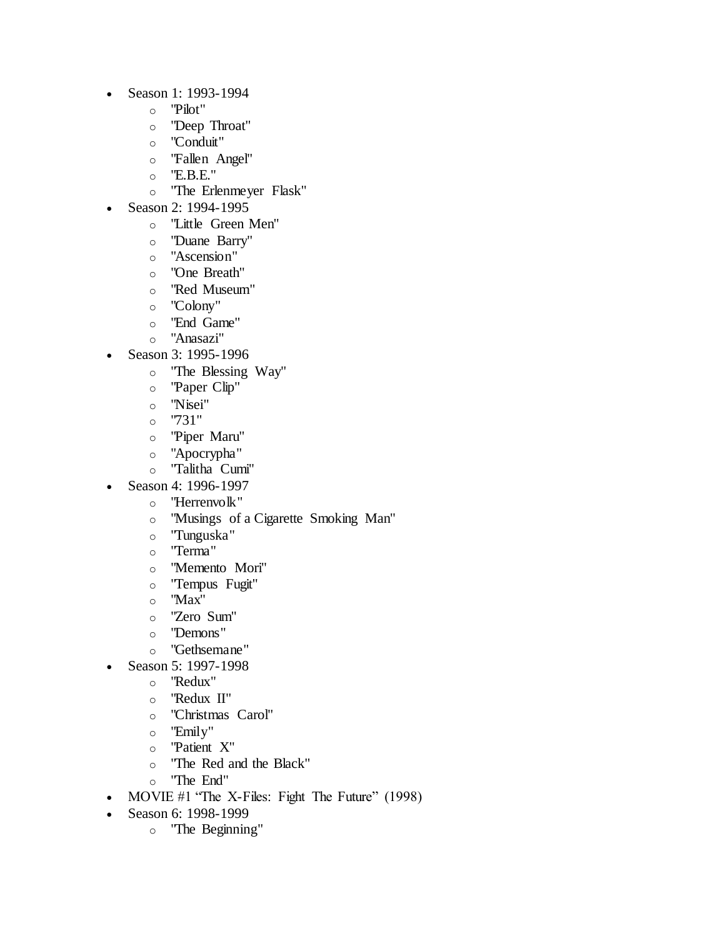- Season 1: 1993-1994
	- o "Pilot"
	- o "Deep Throat"
	- o "Conduit"
	- o "Fallen Angel"
	- o "E.B.E."
	- o "The Erlenmeyer Flask"
- Season 2: 1994-1995
	- o "Little Green Men"
	- o "Duane Barry"
	- o "Ascension"
	- o "One Breath"
	- o "Red Museum"
	- o "Colony"
	- o "End Game"
	- o "Anasazi"
- Season 3: 1995-1996
	- o "The Blessing Way"
	- o "Paper Clip"
	- o "Nisei"
	- $o$  "731"
	- o "Piper Maru"
	- o "Apocrypha"
	- o "Talitha Cumi"
	- Season 4: 1996-1997
		- o "Herrenvolk"
			- o "Musings of a Cigarette Smoking Man"
			- o "Tunguska"
			- o "Terma"
			- o "Memento Mori"
			- o "Tempus Fugit"
			- o "Max"
			- o "Zero Sum"
			- o "Demons"
			- o "Gethsemane"
- Season 5: 1997-1998
	- o "Redux"
	- o "Redux II"
	- o "Christmas Carol"
	- o "Emily"
	- o "Patient X"
	- o "The Red and the Black"
	- o "The End"
- MOVIE #1 "The X-Files: Fight The Future" (1998)
- Season 6: 1998-1999
	- o "The Beginning"